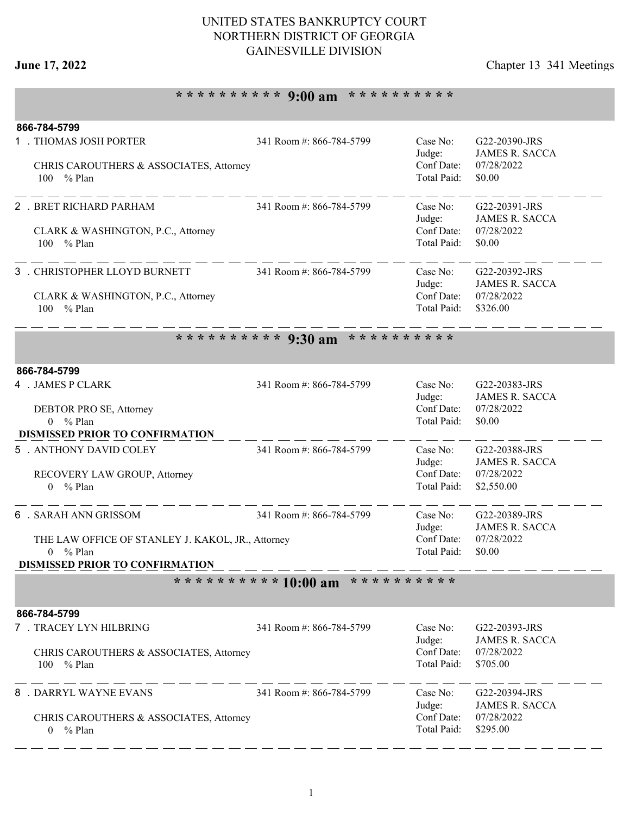## **June 17, 2022** Chapter 13 341 Meetings

# **\* \* \* \* \* \* \* \* \* \* 9:00 am \* \* \* \* \* \* \* \* \* \***

| 866-784-5799                                                              |                                            |                           |                                        |  |  |  |
|---------------------------------------------------------------------------|--------------------------------------------|---------------------------|----------------------------------------|--|--|--|
| 1 . THOMAS JOSH PORTER                                                    | 341 Room #: 866-784-5799                   | Case No:<br>Judge:        | G22-20390-JRS<br><b>JAMES R. SACCA</b> |  |  |  |
| CHRIS CAROUTHERS & ASSOCIATES, Attorney                                   |                                            | Conf Date:                | 07/28/2022                             |  |  |  |
| 100 % Plan                                                                |                                            | Total Paid:               | \$0.00                                 |  |  |  |
| 2 . BRET RICHARD PARHAM                                                   | 341 Room #: 866-784-5799                   | Case No:                  | G22-20391-JRS                          |  |  |  |
|                                                                           |                                            | Judge:                    | <b>JAMES R. SACCA</b>                  |  |  |  |
| CLARK & WASHINGTON, P.C., Attorney<br>100 % Plan                          |                                            | Conf Date:<br>Total Paid: | 07/28/2022<br>\$0.00                   |  |  |  |
|                                                                           |                                            |                           |                                        |  |  |  |
| 3 . CHRISTOPHER LLOYD BURNETT                                             | 341 Room #: 866-784-5799                   | Case No:                  | G22-20392-JRS                          |  |  |  |
| CLARK & WASHINGTON, P.C., Attorney                                        |                                            | Judge:<br>Conf Date:      | <b>JAMES R. SACCA</b><br>07/28/2022    |  |  |  |
| % Plan<br>100                                                             |                                            | Total Paid:               | \$326.00                               |  |  |  |
|                                                                           | ********** 9:30 am<br>* * * * * * * * * *  |                           |                                        |  |  |  |
|                                                                           |                                            |                           |                                        |  |  |  |
| 866-784-5799                                                              |                                            |                           |                                        |  |  |  |
| 4 . JAMES P CLARK                                                         | 341 Room #: 866-784-5799                   | Case No:<br>Judge:        | G22-20383-JRS<br><b>JAMES R. SACCA</b> |  |  |  |
| DEBTOR PRO SE, Attorney                                                   |                                            | Conf Date:                | 07/28/2022                             |  |  |  |
| $0 \frac{9}{6}$ Plan                                                      |                                            | Total Paid:               | \$0.00                                 |  |  |  |
| <b>DISMISSED PRIOR TO CONFIRMATION</b>                                    |                                            |                           |                                        |  |  |  |
| 5 . ANTHONY DAVID COLEY                                                   | 341 Room #: 866-784-5799                   | Case No:<br>Judge:        | G22-20388-JRS<br><b>JAMES R. SACCA</b> |  |  |  |
| RECOVERY LAW GROUP, Attorney                                              |                                            | Conf Date:                | 07/28/2022                             |  |  |  |
| $0 \frac{9}{6}$ Plan                                                      |                                            | Total Paid:               | \$2,550.00                             |  |  |  |
| 6 . SARAH ANN GRISSOM                                                     | 341 Room #: 866-784-5799                   | Case No:                  | G22-20389-JRS                          |  |  |  |
|                                                                           |                                            | Judge:                    | <b>JAMES R. SACCA</b>                  |  |  |  |
| THE LAW OFFICE OF STANLEY J. KAKOL, JR., Attorney<br>$0 \frac{9}{6}$ Plan |                                            | Conf Date:<br>Total Paid: | 07/28/2022<br>\$0.00                   |  |  |  |
| <b>DISMISSED PRIOR TO CONFIRMATION</b>                                    |                                            |                           |                                        |  |  |  |
|                                                                           | ********** 10:00 am<br>* * * * * * * * * * |                           |                                        |  |  |  |
| 866-784-5799                                                              |                                            |                           |                                        |  |  |  |
| 7 . TRACEY LYN HILBRING                                                   | 341 Room #: 866-784-5799                   | Case No:                  | G22-20393-JRS                          |  |  |  |
|                                                                           |                                            | Judge:                    | <b>JAMES R. SACCA</b>                  |  |  |  |
| CHRIS CAROUTHERS & ASSOCIATES, Attorney                                   |                                            | Conf Date:                | 07/28/2022                             |  |  |  |
| 100 % Plan                                                                |                                            | Total Paid:               | \$705.00                               |  |  |  |
| 8 . DARRYL WAYNE EVANS                                                    | 341 Room #: 866-784-5799                   | Case No:                  | G22-20394-JRS                          |  |  |  |
|                                                                           |                                            | Judge:                    | <b>JAMES R. SACCA</b>                  |  |  |  |
| CHRIS CAROUTHERS & ASSOCIATES, Attorney<br>$0 \frac{9}{6}$ Plan           |                                            | Conf Date:<br>Total Paid: | 07/28/2022<br>\$295.00                 |  |  |  |
|                                                                           |                                            |                           |                                        |  |  |  |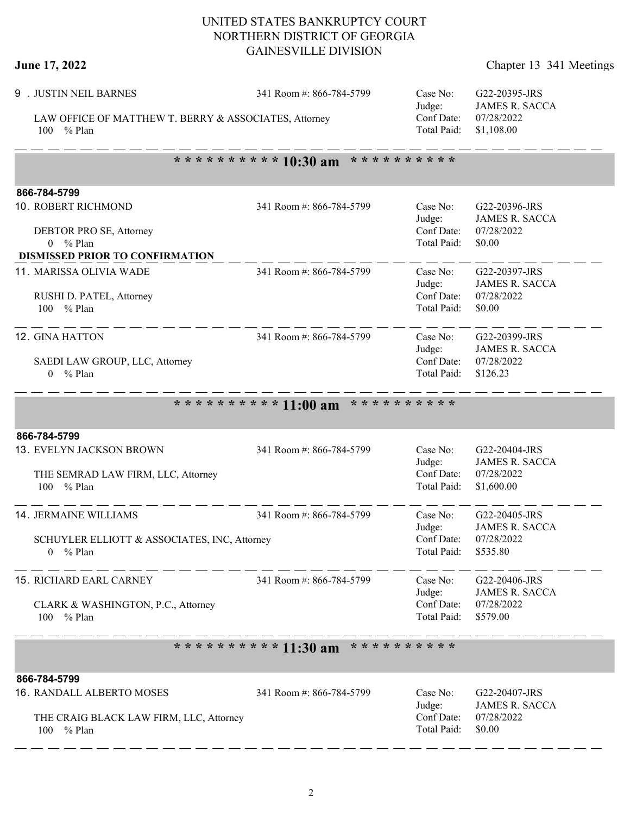$-$ 

| Chapter 13 341 Meetings |
|-------------------------|
|                         |

| <b>June 17, 2022</b>                                                 |                          |                           | Chapter 13 341 Meetings                                            |
|----------------------------------------------------------------------|--------------------------|---------------------------|--------------------------------------------------------------------|
| 9 . JUSTIN NEIL BARNES                                               | 341 Room #: 866-784-5799 | Case No:<br>Judge:        | G22-20395-JRS<br><b>JAMES R. SACCA</b><br>07/28/2022<br>\$1,108.00 |
| LAW OFFICE OF MATTHEW T. BERRY & ASSOCIATES, Attorney<br>100 % Plan  |                          | Conf Date:<br>Total Paid: |                                                                    |
|                                                                      | ********** 10:30 am      | * * * * * * * * * *       |                                                                    |
| 866-784-5799                                                         |                          |                           |                                                                    |
| 10. ROBERT RICHMOND                                                  | 341 Room #: 866-784-5799 | Case No:<br>Judge:        | G22-20396-JRS<br><b>JAMES R. SACCA</b>                             |
| DEBTOR PRO SE, Attorney<br>$0 \frac{9}{6}$ Plan                      |                          | Conf Date:<br>Total Paid: | 07/28/2022<br>\$0.00                                               |
| <b>DISMISSED PRIOR TO CONFIRMATION</b>                               |                          |                           |                                                                    |
| 11. MARISSA OLIVIA WADE                                              | 341 Room #: 866-784-5799 | Case No:<br>Judge:        | G22-20397-JRS<br><b>JAMES R. SACCA</b>                             |
| RUSHI D. PATEL, Attorney<br>$%$ Plan<br>100                          |                          | Conf Date:<br>Total Paid: | 07/28/2022<br>\$0.00                                               |
| 12. GINA HATTON                                                      | 341 Room #: 866-784-5799 | Case No:<br>Judge:        | G22-20399-JRS<br><b>JAMES R. SACCA</b>                             |
| SAEDI LAW GROUP, LLC, Attorney<br>$0 \frac{9}{6}$ Plan               |                          | Conf Date:<br>Total Paid: | 07/28/2022<br>\$126.23                                             |
|                                                                      | ********** 11:00 am      | * * * * * * * * * *       |                                                                    |
| 866-784-5799                                                         |                          |                           |                                                                    |
| 13. EVELYN JACKSON BROWN                                             | 341 Room #: 866-784-5799 | Case No:<br>Judge:        | G22-20404-JRS<br><b>JAMES R. SACCA</b>                             |
| THE SEMRAD LAW FIRM, LLC, Attorney<br>% Plan<br>100                  |                          | Conf Date:<br>Total Paid: | 07/28/2022<br>\$1,600.00                                           |
| <b>14. JERMAINE WILLIAMS</b>                                         | 341 Room #: 866-784-5799 | Case No:<br>Judge:        | G22-20405-JRS<br><b>JAMES R. SACCA</b>                             |
| SCHUYLER ELLIOTT & ASSOCIATES, INC, Attorney<br>$0 \frac{9}{6}$ Plan |                          | Conf Date:<br>Total Paid: | 07/28/2022<br>\$535.80                                             |
| <b>15. RICHARD EARL CARNEY</b>                                       | 341 Room #: 866-784-5799 | Case No:<br>Judge:        | G22-20406-JRS<br><b>JAMES R. SACCA</b>                             |
| CLARK & WASHINGTON, P.C., Attorney<br>100 % Plan                     |                          | Conf Date:<br>Total Paid: | 07/28/2022<br>\$579.00                                             |
|                                                                      | ********** 11:30 am      | * * * * * * * * * *       |                                                                    |
| 866-784-5799                                                         |                          |                           |                                                                    |
| 16. RANDALL ALBERTO MOSES                                            | 341 Room #: 866-784-5799 | Case No:<br>Judge:        | G22-20407-JRS<br><b>JAMES R. SACCA</b>                             |
| THE CRAIG BLACK LAW FIRM, LLC, Attorney<br>100 % Plan                |                          | Conf Date:<br>Total Paid: | 07/28/2022<br>\$0.00                                               |

----------------------------

 $-$ 

— —

 $-$ 

- - - - -

 $-$   $-$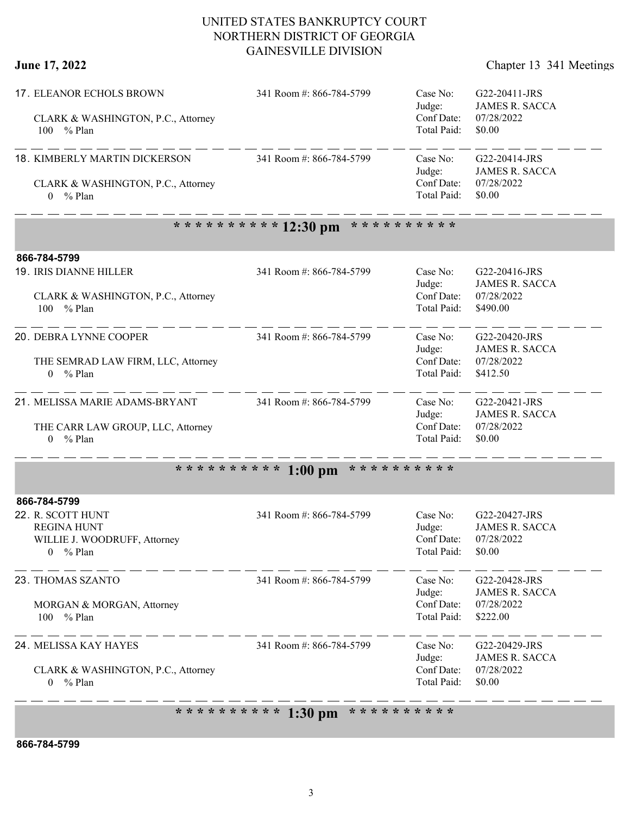**June 17, 2022** Chapter 13 341 Meetings

| 17. ELEANOR ECHOLS BROWN<br>CLARK & WASHINGTON, P.C., Attorney<br>100 % Plan                  | 341 Room #: 866-784-5799                                                    | Case No:<br>Judge:<br>Conf Date:<br>Total Paid: | G22-20411-JRS<br><b>JAMES R. SACCA</b><br>07/28/2022<br>\$0.00   |
|-----------------------------------------------------------------------------------------------|-----------------------------------------------------------------------------|-------------------------------------------------|------------------------------------------------------------------|
| 18. KIMBERLY MARTIN DICKERSON<br>CLARK & WASHINGTON, P.C., Attorney<br>$0 \frac{9}{6}$ Plan   | 341 Room #: 866-784-5799                                                    | Case No:<br>Judge:<br>Conf Date:<br>Total Paid: | G22-20414-JRS<br><b>JAMES R. SACCA</b><br>07/28/2022<br>\$0.00   |
|                                                                                               | ********** 12:30 pm<br>* * * * * * * * * *                                  |                                                 |                                                                  |
| 866-784-5799<br>19. IRIS DIANNE HILLER<br>CLARK & WASHINGTON, P.C., Attorney<br>100 % Plan    | 341 Room #: 866-784-5799                                                    | Case No:<br>Judge:<br>Conf Date:<br>Total Paid: | G22-20416-JRS<br><b>JAMES R. SACCA</b><br>07/28/2022<br>\$490.00 |
| 20. DEBRA LYNNE COOPER<br>THE SEMRAD LAW FIRM, LLC, Attorney<br>$0 \frac{9}{6}$ Plan          | 341 Room #: 866-784-5799                                                    | Case No:<br>Judge:<br>Conf Date:<br>Total Paid: | G22-20420-JRS<br><b>JAMES R. SACCA</b><br>07/28/2022<br>\$412.50 |
| 21. MELISSA MARIE ADAMS-BRYANT<br>THE CARR LAW GROUP, LLC, Attorney<br>$0 \frac{9}{6}$ Plan   | 341 Room #: 866-784-5799                                                    | Case No:<br>Judge:<br>Conf Date:<br>Total Paid: | G22-20421-JRS<br><b>JAMES R. SACCA</b><br>07/28/2022<br>\$0.00   |
| * * * * * * * * * *                                                                           | * * * * * * * * * *<br>$1:00$ pm                                            |                                                 |                                                                  |
| 866-784-5799                                                                                  |                                                                             |                                                 |                                                                  |
| 22. R. SCOTT HUNT<br><b>REGINA HUNT</b><br>WILLIE J. WOODRUFF, Attorney<br>% Plan<br>$\theta$ | 341 Room #: 866-784-5799                                                    | Case No:<br>Judge:<br>Conf Date:<br>Total Paid: | G22-20427-JRS<br><b>JAMES R. SACCA</b><br>07/28/2022<br>\$0.00   |
| 23. THOMAS SZANTO<br>MORGAN & MORGAN, Attorney<br>100<br>% Plan                               | 341 Room #: 866-784-5799                                                    | Case No:<br>Judge:<br>Conf Date:<br>Total Paid: | G22-20428-JRS<br><b>JAMES R. SACCA</b><br>07/28/2022<br>\$222.00 |
| 24. MELISSA KAY HAYES<br>CLARK & WASHINGTON, P.C., Attorney<br>$0 \frac{9}{6}$ Plan           | 341 Room #: 866-784-5799<br>* * * * * * * * * * 1.20 nm * * * * * * * * * * | Case No:<br>Judge:<br>Conf Date:<br>Total Paid: | G22-20429-JRS<br><b>JAMES R. SACCA</b><br>07/28/2022<br>\$0.00   |

**1:30 pm** 

**866-784-5799**